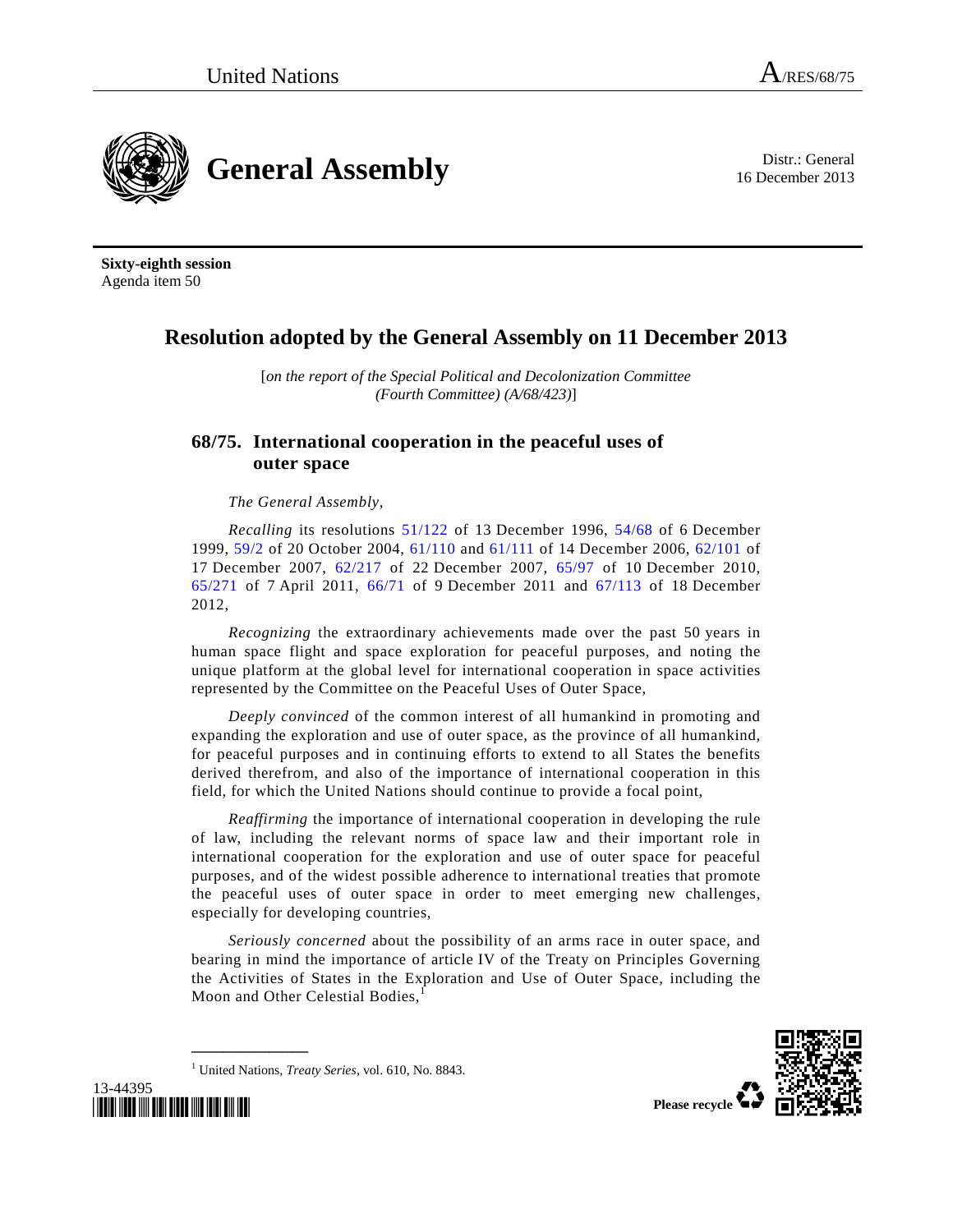**General Assembly** Distr.: General

16 December 2013

**Sixty-eighth session**  Agenda item 50

## **Resolution adopted by the General Assembly on 11 December 2013**

[*on the report of the Special Political and Decolonization Committee (Fourth Committee) (A/68/423)*]

## **68/75. International cooperation in the peaceful uses of outer space**

*The General Assembly*,

*Recalling* its resolutions 51/122 of 13 December 1996, 54/68 of 6 December 1999, 59/2 of 20 October 2004, 61/110 and 61/111 of 14 December 2006, 62/101 of 17 December 2007, 62/217 of 22 December 2007, 65/97 of 10 December 2010, 65/271 of 7 April 2011, 66/71 of 9 December 2011 and 67/113 of 18 December 2012,

*Recognizing* the extraordinary achievements made over the past 50 years in human space flight and space exploration for peaceful purposes, and noting the unique platform at the global level for international cooperation in space activities represented by the Committee on the Peaceful Uses of Outer Space,

*Deeply convinced* of the common interest of all humankind in promoting and expanding the exploration and use of outer space, as the province of all humankind, for peaceful purposes and in continuing efforts to extend to all States the benefits derived therefrom, and also of the importance of international cooperation in this field, for which the United Nations should continue to provide a focal point,

*Reaffirming* the importance of international cooperation in developing the rule of law, including the relevant norms of space law and their important role in international cooperation for the exploration and use of outer space for peaceful purposes, and of the widest possible adherence to international treaties that promote the peaceful uses of outer space in order to meet emerging new challenges, especially for developing countries,

*Seriously concerned* about the possibility of an arms race in outer space, and bearing in mind the importance of article IV of the Treaty on Principles Governing the Activities of States in the Exploration and Use of Outer Space, including the Moon and Other Celestial Bodies,



1 United Nations, *Treaty Series*, vol. 610, No. 8843.

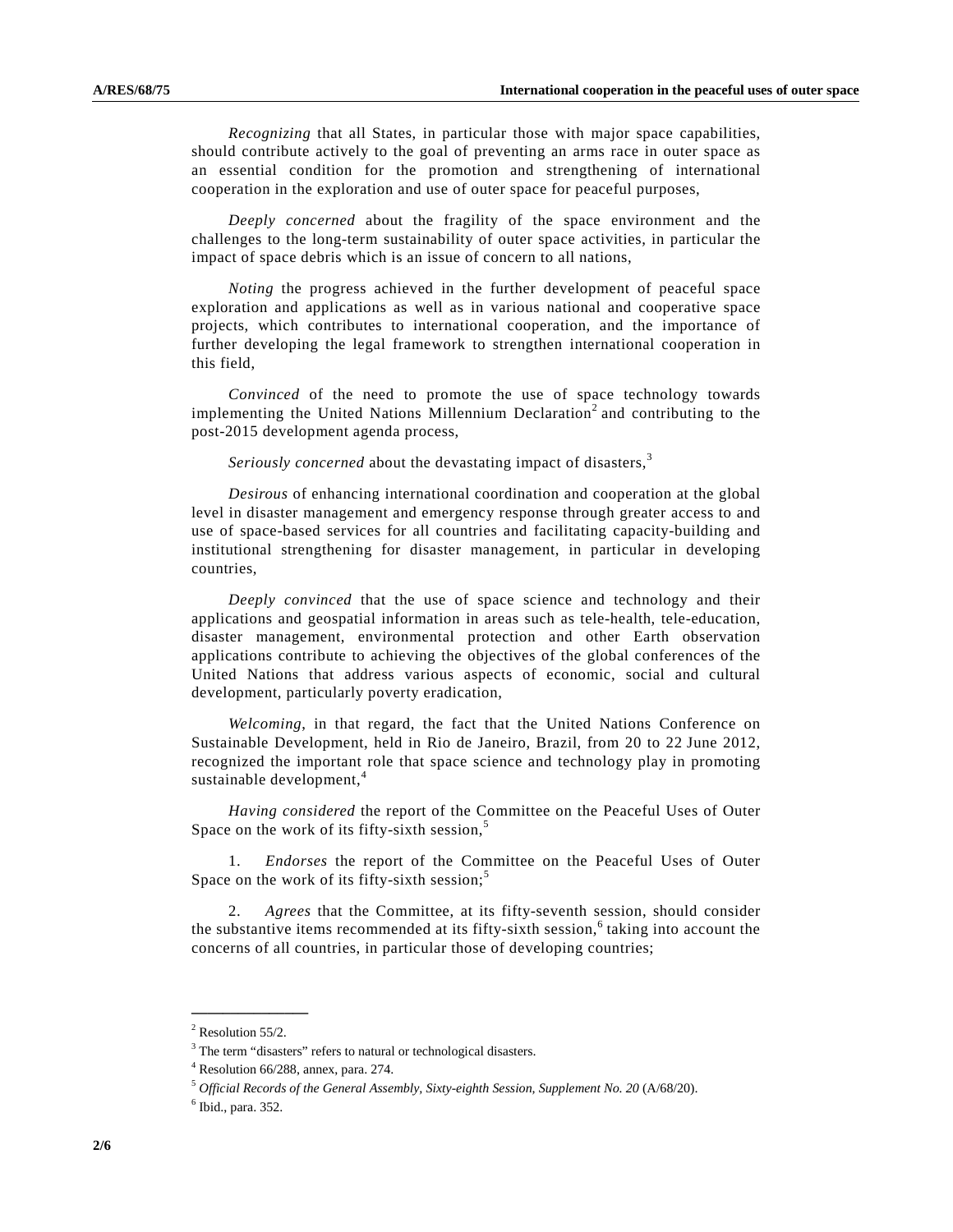*Recognizing* that all States, in particular those with major space capabilities, should contribute actively to the goal of preventing an arms race in outer space as an essential condition for the promotion and strengthening of international cooperation in the exploration and use of outer space for peaceful purposes,

*Deeply concerned* about the fragility of the space environment and the challenges to the long-term sustainability of outer space activities, in particular the impact of space debris which is an issue of concern to all nations,

*Noting* the progress achieved in the further development of peaceful space exploration and applications as well as in various national and cooperative space projects, which contributes to international cooperation, and the importance of further developing the legal framework to strengthen international cooperation in this field,

*Convinced* of the need to promote the use of space technology towards implementing the United Nations Millennium Declaration<sup>2</sup> and contributing to the post-2015 development agenda process,

*Seriously concerned* about the devastating impact of disasters,<sup>3</sup>

*Desirous* of enhancing international coordination and cooperation at the global level in disaster management and emergency response through greater access to and use of space-based services for all countries and facilitating capacity-building and institutional strengthening for disaster management, in particular in developing countries,

*Deeply convinced* that the use of space science and technology and their applications and geospatial information in areas such as tele-health, tele-education, disaster management, environmental protection and other Earth observation applications contribute to achieving the objectives of the global conferences of the United Nations that address various aspects of economic, social and cultural development, particularly poverty eradication,

*Welcoming*, in that regard, the fact that the United Nations Conference on Sustainable Development, held in Rio de Janeiro, Brazil, from 20 to 22 June 2012, recognized the important role that space science and technology play in promoting sustainable development,<sup>4</sup>

*Having considered* the report of the Committee on the Peaceful Uses of Outer Space on the work of its fifty-sixth session,<sup>5</sup>

 1. *Endorses* the report of the Committee on the Peaceful Uses of Outer Space on the work of its fifty-sixth session;<sup>5</sup>

 2. *Agrees* that the Committee, at its fifty-seventh session, should consider the substantive items recommended at its fifty-sixth session,<sup>6</sup> taking into account the concerns of all countries, in particular those of developing countries;

 $2$  Resolution 55/2.

<sup>&</sup>lt;sup>3</sup> The term "disasters" refers to natural or technological disasters.

<sup>4</sup> Resolution 66/288, annex, para. 274.

<sup>5</sup> *Official Records of the General Assembly, Sixty-eighth Session, Supplement No. 20* (A/68/20).

<sup>6</sup> Ibid., para. 352.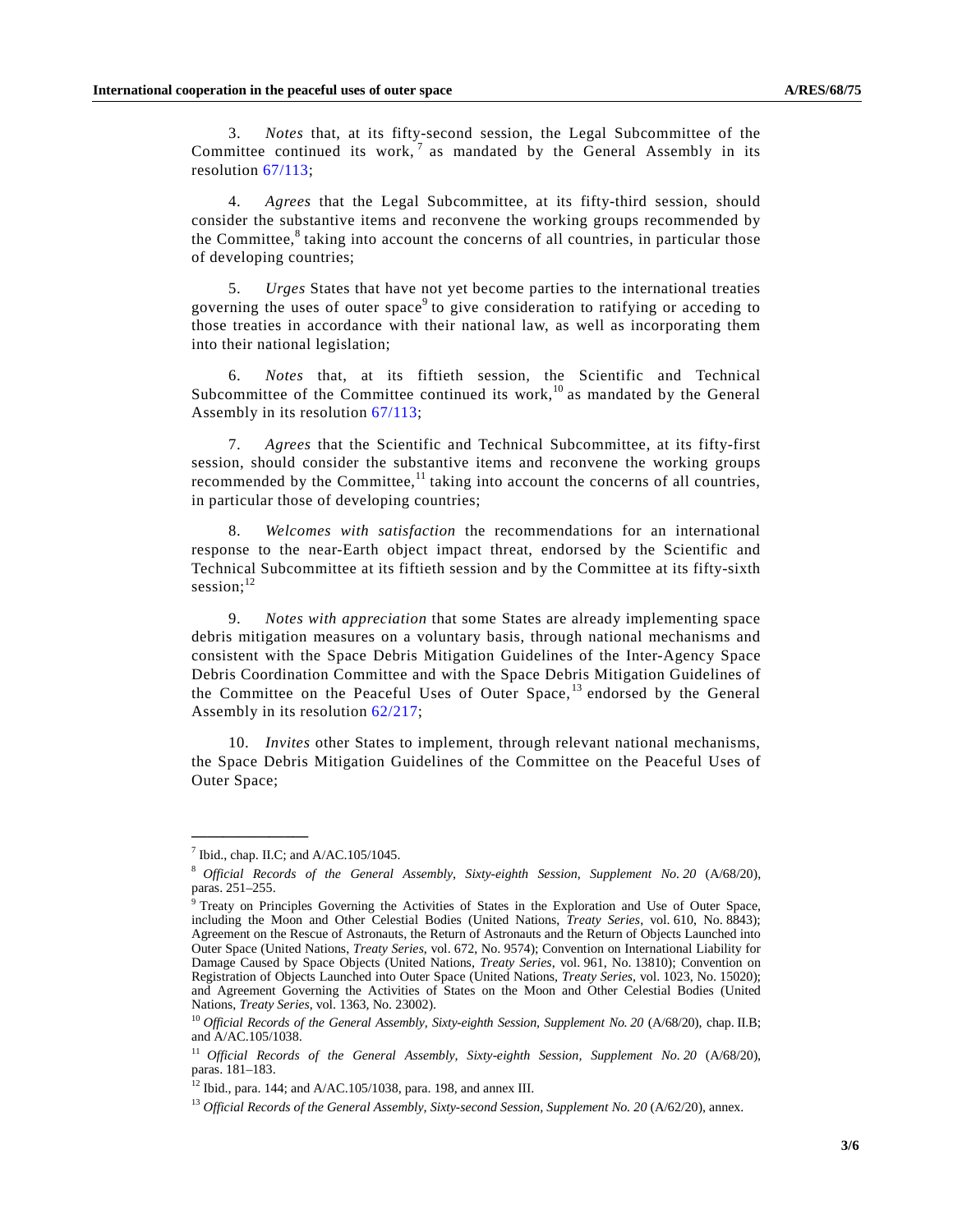3. *Notes* that, at its fifty-second session, the Legal Subcommittee of the Committee continued its work,  $7$  as mandated by the General Assembly in its resolution 67/113;

 4. *Agrees* that the Legal Subcommittee, at its fifty-third session, should consider the substantive items and reconvene the working groups recommended by the Committee,<sup>8</sup> taking into account the concerns of all countries, in particular those of developing countries;

 5. *Urges* States that have not yet become parties to the international treaties governing the uses of outer space<sup>9</sup> to give consideration to ratifying or acceding to those treaties in accordance with their national law, as well as incorporating them into their national legislation;

 6. *Notes* that, at its fiftieth session, the Scientific and Technical Subcommittee of the Committee continued its work,<sup>10</sup> as mandated by the General Assembly in its resolution 67/113;

 7. *Agrees* that the Scientific and Technical Subcommittee, at its fifty-first session, should consider the substantive items and reconvene the working groups recommended by the Committee, $^{11}$  taking into account the concerns of all countries, in particular those of developing countries;

 8. *Welcomes with satisfaction* the recommendations for an international response to the near-Earth object impact threat, endorsed by the Scientific and Technical Subcommittee at its fiftieth session and by the Committee at its fifty-sixth session; $^{12}$ 

 9. *Notes with appreciation* that some States are already implementing space debris mitigation measures on a voluntary basis, through national mechanisms and consistent with the Space Debris Mitigation Guidelines of the Inter-Agency Space Debris Coordination Committee and with the Space Debris Mitigation Guidelines of the Committee on the Peaceful Uses of Outer Space,<sup>13</sup> endorsed by the General Assembly in its resolution 62/217;

 10. *Invites* other States to implement, through relevant national mechanisms, the Space Debris Mitigation Guidelines of the Committee on the Peaceful Uses of Outer Space;

 $<sup>7</sup>$  Ibid., chap. II.C; and A/AC.105/1045.</sup>

<sup>8</sup> *Official Records of the General Assembly, Sixty-eighth Session, Supplement No. 20* (A/68/20), paras. 251–255.

<sup>9</sup> Treaty on Principles Governing the Activities of States in the Exploration and Use of Outer Space, including the Moon and Other Celestial Bodies (United Nations, *Treaty Series*, vol. 610, No. 8843); Agreement on the Rescue of Astronauts, the Return of Astronauts and the Return of Objects Launched into Outer Space (United Nations, *Treaty Series*, vol. 672, No. 9574); Convention on International Liability for Damage Caused by Space Objects (United Nations, *Treaty Series*, vol. 961, No. 13810); Convention on Registration of Objects Launched into Outer Space (United Nations, *Treaty Series*, vol. 1023, No. 15020); and Agreement Governing the Activities of States on the Moon and Other Celestial Bodies (United Nations, *Treaty Series*, vol. 1363, No. 23002).

<sup>&</sup>lt;sup>10</sup> Official Records of the General Assembly, Sixty-eighth Session, Supplement No. 20 (A/68/20), chap. II.B; and A/AC.105/1038.

<sup>&</sup>lt;sup>11</sup> Official Records of the General Assembly, Sixty-eighth Session, Supplement No. 20 (A/68/20), paras. 181–183.

<sup>12</sup> Ibid., para. 144; and A/AC.105/1038, para. 198, and annex III.

<sup>&</sup>lt;sup>13</sup> Official Records of the General Assembly, Sixty-second Session, Supplement No. 20 (A/62/20), annex.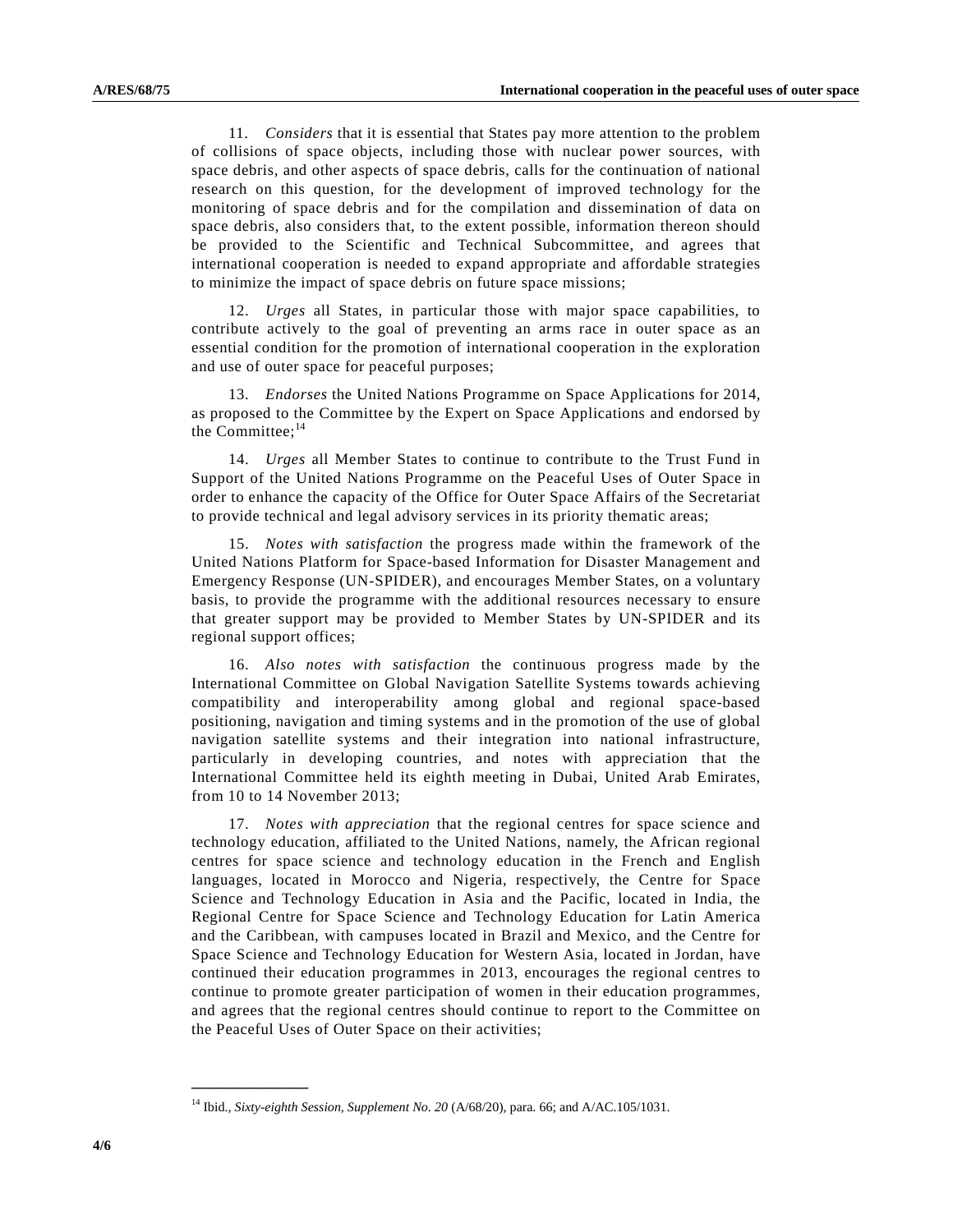11. *Considers* that it is essential that States pay more attention to the problem of collisions of space objects, including those with nuclear power sources, with space debris, and other aspects of space debris, calls for the continuation of national research on this question, for the development of improved technology for the monitoring of space debris and for the compilation and dissemination of data on space debris, also considers that, to the extent possible, information thereon should be provided to the Scientific and Technical Subcommittee, and agrees that international cooperation is needed to expand appropriate and affordable strategies to minimize the impact of space debris on future space missions;

 12. *Urges* all States, in particular those with major space capabilities, to contribute actively to the goal of preventing an arms race in outer space as an essential condition for the promotion of international cooperation in the exploration and use of outer space for peaceful purposes;

 13. *Endorses* the United Nations Programme on Space Applications for 2014, as proposed to the Committee by the Expert on Space Applications and endorsed by the Committee: $^{14}$ 

 14. *Urges* all Member States to continue to contribute to the Trust Fund in Support of the United Nations Programme on the Peaceful Uses of Outer Space in order to enhance the capacity of the Office for Outer Space Affairs of the Secretariat to provide technical and legal advisory services in its priority thematic areas;

 15. *Notes with satisfaction* the progress made within the framework of the United Nations Platform for Space-based Information for Disaster Management and Emergency Response (UN-SPIDER), and encourages Member States, on a voluntary basis, to provide the programme with the additional resources necessary to ensure that greater support may be provided to Member States by UN-SPIDER and its regional support offices;

 16. *Also notes with satisfaction* the continuous progress made by the International Committee on Global Navigation Satellite Systems towards achieving compatibility and interoperability among global and regional space-based positioning, navigation and timing systems and in the promotion of the use of global navigation satellite systems and their integration into national infrastructure, particularly in developing countries, and notes with appreciation that the International Committee held its eighth meeting in Dubai, United Arab Emirates, from 10 to 14 November 2013;

 17. *Notes with appreciation* that the regional centres for space science and technology education, affiliated to the United Nations, namely, the African regional centres for space science and technology education in the French and English languages, located in Morocco and Nigeria, respectively, the Centre for Space Science and Technology Education in Asia and the Pacific, located in India, the Regional Centre for Space Science and Technology Education for Latin America and the Caribbean, with campuses located in Brazil and Mexico, and the Centre for Space Science and Technology Education for Western Asia, located in Jordan, have continued their education programmes in 2013, encourages the regional centres to continue to promote greater participation of women in their education programmes, and agrees that the regional centres should continue to report to the Committee on the Peaceful Uses of Outer Space on their activities;

<sup>&</sup>lt;sup>14</sup> Ibid., *Sixty-eighth Session, Supplement No. 20* (A/68/20), para. 66; and A/AC.105/1031.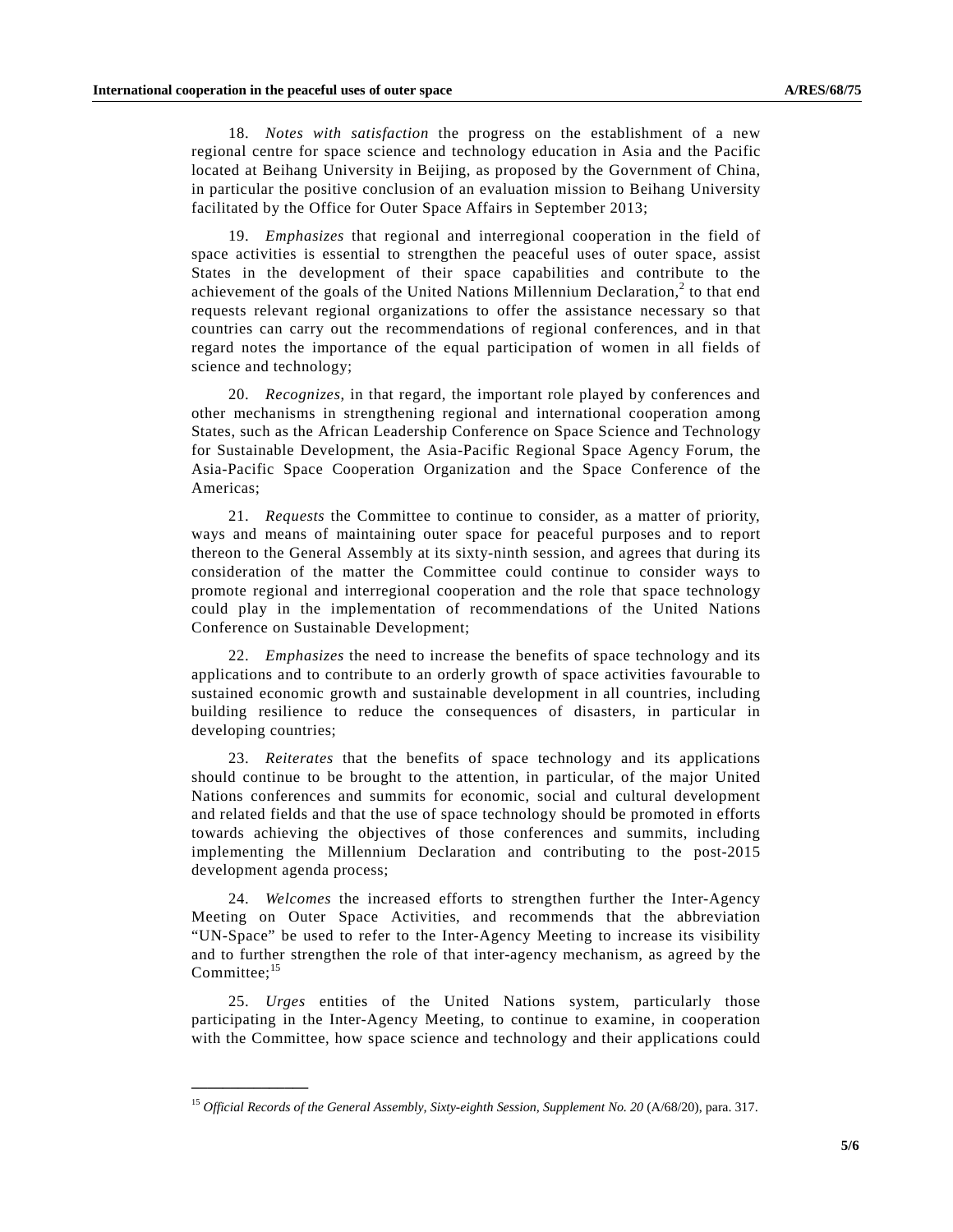**\_\_\_\_\_\_\_\_\_\_\_\_\_\_\_** 

 18. *Notes with satisfaction* the progress on the establishment of a new regional centre for space science and technology education in Asia and the Pacific located at Beihang University in Beijing, as proposed by the Government of China, in particular the positive conclusion of an evaluation mission to Beihang University facilitated by the Office for Outer Space Affairs in September 2013;

 19. *Emphasizes* that regional and interregional cooperation in the field of space activities is essential to strengthen the peaceful uses of outer space, assist States in the development of their space capabilities and contribute to the achievement of the goals of the United Nations Millennium Declaration, $2$  to that end requests relevant regional organizations to offer the assistance necessary so that countries can carry out the recommendations of regional conferences, and in that regard notes the importance of the equal participation of women in all fields of science and technology;

 20. *Recognizes*, in that regard, the important role played by conferences and other mechanisms in strengthening regional and international cooperation among States, such as the African Leadership Conference on Space Science and Technology for Sustainable Development, the Asia-Pacific Regional Space Agency Forum, the Asia-Pacific Space Cooperation Organization and the Space Conference of the Americas;

 21. *Requests* the Committee to continue to consider, as a matter of priority, ways and means of maintaining outer space for peaceful purposes and to report thereon to the General Assembly at its sixty-ninth session, and agrees that during its consideration of the matter the Committee could continue to consider ways to promote regional and interregional cooperation and the role that space technology could play in the implementation of recommendations of the United Nations Conference on Sustainable Development;

 22. *Emphasizes* the need to increase the benefits of space technology and its applications and to contribute to an orderly growth of space activities favourable to sustained economic growth and sustainable development in all countries, including building resilience to reduce the consequences of disasters, in particular in developing countries;

 23. *Reiterates* that the benefits of space technology and its applications should continue to be brought to the attention, in particular, of the major United Nations conferences and summits for economic, social and cultural development and related fields and that the use of space technology should be promoted in efforts towards achieving the objectives of those conferences and summits, including implementing the Millennium Declaration and contributing to the post-2015 development agenda process;

 24. *Welcomes* the increased efforts to strengthen further the Inter-Agency Meeting on Outer Space Activities, and recommends that the abbreviation "UN-Space" be used to refer to the Inter-Agency Meeting to increase its visibility and to further strengthen the role of that inter-agency mechanism, as agreed by the  $Committee: <sup>15</sup>$ 

 25. *Urges* entities of the United Nations system, particularly those participating in the Inter-Agency Meeting, to continue to examine, in cooperation with the Committee, how space science and technology and their applications could

<sup>15</sup> *Official Records of the General Assembly, Sixty-eighth Session, Supplement No. 20* (A/68/20), para. 317.